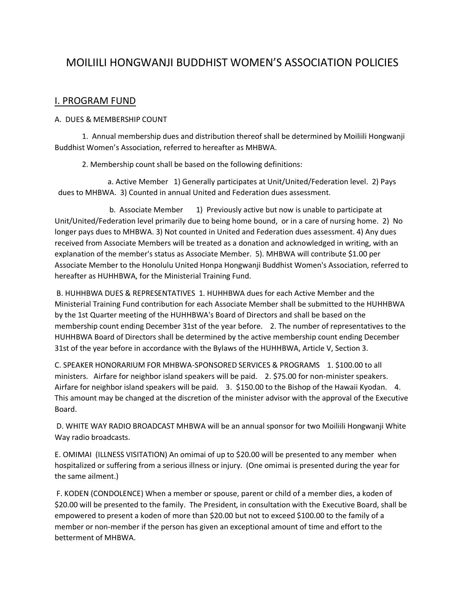# MOILIILI HONGWANJI BUDDHIST WOMEN'S ASSOCIATION POLICIES

## I. PROGRAM FUND

#### A. DUES & MEMBERSHIP COUNT

1. Annual membership dues and distribution thereof shall be determined by Moiliili Hongwanji Buddhist Women's Association, referred to hereafter as MHBWA.

2. Membership count shall be based on the following definitions:

a. Active Member 1) Generally participates at Unit/United/Federation level. 2) Pays dues to MHBWA. 3) Counted in annual United and Federation dues assessment.

b. Associate Member 1) Previously active but now is unable to participate at Unit/United/Federation level primarily due to being home bound, or in a care of nursing home. 2) No longer pays dues to MHBWA. 3) Not counted in United and Federation dues assessment. 4) Any dues received from Associate Members will be treated as a donation and acknowledged in writing, with an explanation of the member's status as Associate Member. 5). MHBWA will contribute \$1.00 per Associate Member to the Honolulu United Honpa Hongwanji Buddhist Women's Association, referred to hereafter as HUHHBWA, for the Ministerial Training Fund.

B. HUHHBWA DUES & REPRESENTATIVES 1. HUHHBWA dues for each Active Member and the Ministerial Training Fund contribution for each Associate Member shall be submitted to the HUHHBWA by the 1st Quarter meeting of the HUHHBWA's Board of Directors and shall be based on the membership count ending December 31st of the year before. 2. The number of representatives to the HUHHBWA Board of Directors shall be determined by the active membership count ending December 31st of the year before in accordance with the Bylaws of the HUHHBWA, Article V, Section 3.

C. SPEAKER HONORARIUM FOR MHBWA-SPONSORED SERVICES & PROGRAMS 1. \$100.00 to all ministers. Airfare for neighbor island speakers will be paid. 2. \$75.00 for non-minister speakers. Airfare for neighbor island speakers will be paid. 3. \$150.00 to the Bishop of the Hawaii Kyodan. 4. This amount may be changed at the discretion of the minister advisor with the approval of the Executive Board.

D. WHITE WAY RADIO BROADCAST MHBWA will be an annual sponsor for two Moiliili Hongwanji White Way radio broadcasts.

E. OMIMAI (ILLNESS VISITATION) An omimai of up to \$20.00 will be presented to any member when hospitalized or suffering from a serious illness or injury. (One omimai is presented during the year for the same ailment.)

F. KODEN (CONDOLENCE) When a member or spouse, parent or child of a member dies, a koden of \$20.00 will be presented to the family. The President, in consultation with the Executive Board, shall be empowered to present a koden of more than \$20.00 but not to exceed \$100.00 to the family of a member or non-member if the person has given an exceptional amount of time and effort to the betterment of MHBWA.